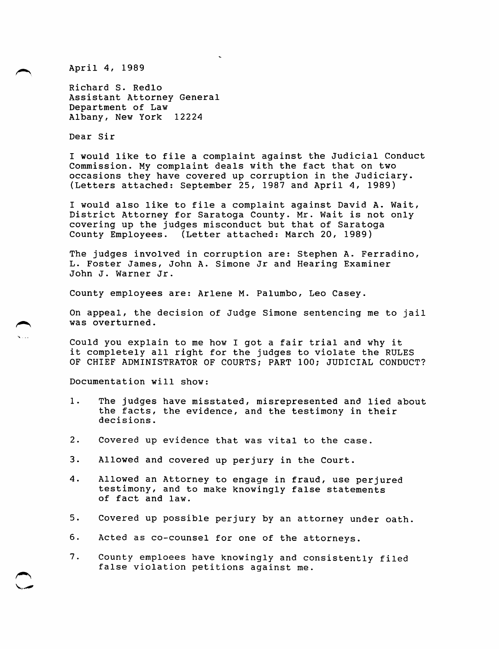April 4, 1989

Richard S. Redlo Assistant Attorney General Department of Law Albany, New York 12224

Dear Sir

I would like to file a complaint against the Judicial Conduct Commission. My complaint deals with the fact that on two occasions they have covered up corruption in the Judiciary. (Letters attached: September  $25$ , 1987 and April 4, 1989)

I would also like to file a complaint against David A. Wait, District Attorney for Saratoga County. Mr. Wait is not only covering up the judges misconduct but that of Saratoga County Employees. (Letter attached: March 20, 1989)

The judges involved in corruption are: Stephen A. Ferradino, L. Foster James, John A. Simone Jr and Hearing Examiner John J. Warner Jr.

County employees are: Arlene M. Palumbo, Leo Casey.

On appeal, the decision of Judge Simone sentencing me to jail was overturned.

Could you explain to me how I got a fair trial and why it it completely all right for the judges to violate the RULES OF CHIEF ADMINISTRATOR OF COURTS; PART 100; JUDICIAL CONDUCT?

Documentation will show:

- 1. The judges have misstated, misrepresented and lied about the facts, the evidence, and the testimony in their decisions.
- 2. Covered up evidence that was vital to the case.
- 3. Allowed and covered up perjury in the Court.
- 4. Allowed an Attorney to engage in fraud, use perjured testimony, and to make knowingly false statements of fact and law.
- 5. Covered up possible perjury by an attorney under oath.
- 6. Acted as co-counsel for one of the attorneys.
- 7. County emploees have knowingly and consistently filed false violation petitions against me.